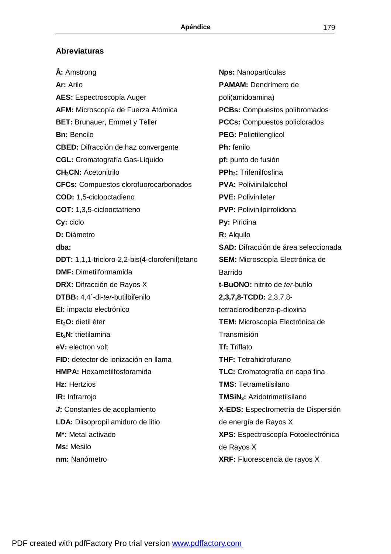## **Abreviaturas**

**Å:** Amstrong **Ar:** Arilo **AES:** Espectroscopía Auger **AFM:** Microscopía de Fuerza Atómica **BET:** Brunauer, Emmet y Teller **Bn:** Bencilo **CBED:** Difracción de haz convergente **CGL:** Cromatografía Gas-Líquido **CH3CN:** Acetonitrilo **CFCs:** Compuestos clorofuorocarbonados **COD:** 1,5-ciclooctadieno **COT:** 1,3,5-ciclooctatrieno **Cy:** ciclo **D:** Diámetro **dba: DDT:** 1,1,1-tricloro-2,2-bis(4-clorofenil)etano **DMF:** Dimetilformamida **DRX:** Difracción de Rayos X **DTBB:** 4,4´-di-*ter*-butilbifenilo **EI:** impacto electrónico **Et2O:** dietil éter **Et3N:** trietilamina **eV:** electron volt **FID:** detector de ionización en llama **HMPA:** Hexametilfosforamida **Hz:** Hertzios **IR:** Infrarrojo *J***:** Constantes de acoplamiento **LDA:** Diisopropil amiduro de litio **M\*:** Metal activado **Ms:** Mesilo **nm:** Nanómetro

**Nps:** Nanopartículas **PAMAM:** Dendrímero de poli(amidoamina) **PCBs:** Compuestos polibromados **PCCs:** Compuestos policlorados **PEG:** Polietilenglicol **Ph:** fenilo **pf:** punto de fusión **PPh3:** Trifenilfosfina **PVA:** Poliviinilalcohol **PVE:** Polivinileter **PVP:** Polivinilpirrolidona **Py:** Piridina **R:** Alquilo **SAD:** Difracción de área seleccionada **SEM:** Microscopía Electrónica de Barrido **t-BuONO:** nitrito de *ter*-butilo **2,3,7,8-TCDD:** 2,3,7,8 tetraclorodibenzo-p-dioxina **TEM:** Microscopia Electrónica de Transmisión **Tf:** Triflato **THF:** Tetrahidrofurano **TLC:** Cromatografía en capa fina **TMS:** Tetrametilsilano **TMSiN3:** Azidotrimetilsilano **X-EDS:** Espectrometría de Dispersión de energía de Rayos X **XPS:** Espectroscopía Fotoelectrónica de Rayos X **XRF:** Fluorescencia de rayos X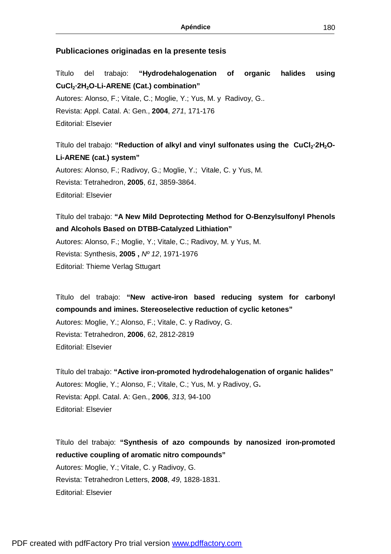## **Publicaciones originadas en la presente tesis**

Título del trabajo: **"Hydrodehalogenation of organic halides using CuCl2·2H2O-Li-ARENE (Cat.) combination"** Autores: Alonso, F.; Vitale, C.; Moglie, Y.; Yus, M. y Radivoy, G.. Revista: Appl. Catal. A: Gen., **2004**, *271*, 171-176 Editorial: Elsevier

Título del trabajo: **"Reduction of alkyl and vinyl sulfonates using the CuCl2·2H2O-Li-ARENE (cat.) system"** Autores: Alonso, F.; Radivoy, G.; Moglie, Y.; Vitale, C. y Yus, M.

Revista: Tetrahedron, **2005**, *61*, 3859-3864. Editorial: Elsevier

Título del trabajo: **"A New Mild Deprotecting Method for O-Benzylsulfonyl Phenols and Alcohols Based on DTBB-Catalyzed Lithiation"**

Autores: Alonso, F.; Moglie, Y.; Vitale, C.; Radivoy, M. y Yus, M. Revista: Synthesis, **2005 ,** *Nº 12*, 1971-1976 Editorial: Thieme Verlag Sttugart

Título del trabajo: **"New active-iron based reducing system for carbonyl compounds and imines. Stereoselective reduction of cyclic ketones"**  Autores: Moglie, Y.; Alonso, F.; Vitale, C. y Radivoy, G. Revista: Tetrahedron, **2006**, 62, 2812-2819 Editorial: Elsevier

Título del trabajo: **"Active iron-promoted hydrodehalogenation of organic halides"**  Autores: Moglie, Y.; Alonso, F.; Vitale, C.; Yus, M. y Radivoy, G**.**  Revista: Appl. Catal. A: Gen., **2006**, *313*, 94-100 Editorial: Elsevier

Título del trabajo: **"Synthesis of azo compounds by nanosized iron-promoted reductive coupling of aromatic nitro compounds"**  Autores: Moglie, Y.; Vitale, C. y Radivoy, G. Revista: Tetrahedron Letters, **2008**, *49*, 1828-1831. Editorial: Elsevier